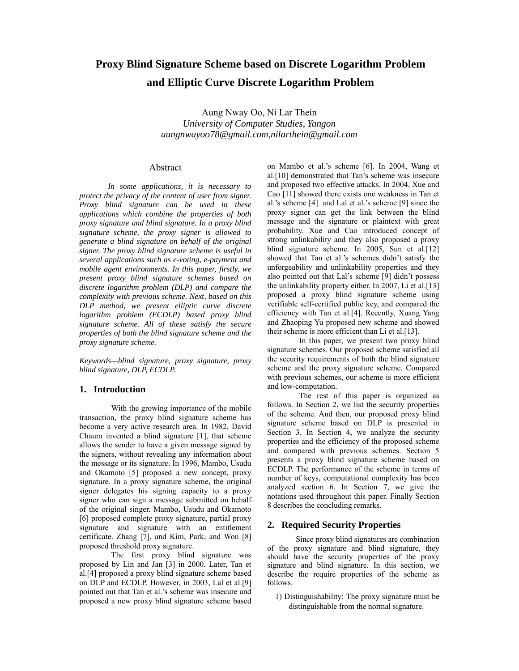# **Proxy Blind Signature Scheme based on Discrete Logarithm Problem and Elliptic Curve Discrete Logarithm Problem**

Aung Nway Oo, Ni Lar Thein *University of Computer Studies, Yangon aungnwayoo78@gmail.com,nilarthein@gmail.com* 

# Abstract

*In some applications, it is necessary to protect the privacy of the content of user from signer. Proxy blind signature can be used in these applications which combine the properties of both proxy signature and blind signature. In a proxy blind signature scheme, the proxy signer is allowed to generate a blind signature on behalf of the original signer. The proxy blind signature scheme is useful in several applications such as e-voting, e-payment and mobile agent environments. In this paper, firstly, we present proxy blind signature schemes based on discrete logarithm problem (DLP) and compare the complexity with previous scheme. Next, based on this DLP method, we present elliptic curve discrete logarithm problem (ECDLP) based proxy blind signature scheme. All of these satisfy the secure properties of both the blind signature scheme and the proxy signature scheme.* 

*Keywords—blind signature, proxy signature, proxy blind signature, DLP, ECDLP.* 

# **1. Introduction**

 With the growing importance of the mobile transaction, the proxy blind signature scheme has become a very active research area. In 1982, David Chaum invented a blind signature [1], that scheme allows the sender to have a given message signed by the signers, without revealing any information about the message or its signature. In 1996, Mambo, Usudu and Okamoto [5] proposed a new concept, proxy signature. In a proxy signature scheme, the original signer delegates his signing capacity to a proxy signer who can sign a message submitted on behalf of the original singer. Mambo, Usudu and Okamoto [6] proposed complete proxy signature, partial proxy signature and signature with an entitlement certificate. Zhang [7], and Kim, Park, and Won [8] proposed threshold proxy signature.

 The first proxy blind signature was proposed by Lin and Jan [3] in 2000. Later, Tan et al.[4] proposed a proxy blind signature scheme based on DLP and ECDLP. However, in 2003, Lal et al.[9] pointed out that Tan et al.'s scheme was insecure and proposed a new proxy blind signature scheme based

on Mambo et al.'s scheme [6]. In 2004, Wang et al.[10] demonstrated that Tan's scheme was insecure and proposed two effective attacks. In 2004, Xue and Cao [11] showed there exists one weakness in Tan et al.'s scheme [4] and Lal et al.'s scheme [9] since the proxy signer can get the link between the blind message and the signature or plaintext with great probability. Xue and Cao introduced concept of strong unlinkability and they also proposed a proxy blind signature scheme. In 2005, Sun et al.[12] showed that Tan et al.'s schemes didn't satisfy the unforgeability and unlinkability properties and they also pointed out that Lal's scheme [9] didn't possess the unlinkability property either. In 2007, Li et al.[13] proposed a proxy blind signature scheme using verifiable self-certified public key, and compared the efficiency with Tan et al.[4]. Recently, Xuang Yang and Zhaoping Yu proposed new scheme and showed their scheme is more efficient than Li et al.[13].

 In this paper, we present two proxy blind signature schemes. Our proposed scheme satisfied all the security requirements of both the blind signature scheme and the proxy signature scheme. Compared with previous schemes, our scheme is more efficient and low-computation.

 The rest of this paper is organized as follows. In Section 2, we list the security properties of the scheme. And then, our proposed proxy blind signature scheme based on DLP is presented in Section 3. In Section 4, we analyze the security properties and the efficiency of the proposed scheme and compared with previous schemes. Section 5 presents a proxy blind signature scheme based on ECDLP. The performance of the scheme in terms of number of keys, computational complexity has been analyzed section 6. In Section 7, we give the notations used throughout this paper. Finally Section 8 describes the concluding remarks.

# **2. Required Security Properties**

Since proxy blind signatures are combination of the proxy signature and blind signature, they should have the security properties of the proxy signature and blind signature. In this section, we describe the require properties of the scheme as follows.

1) Distinguishability: The proxy signature must be distinguishable from the normal signature.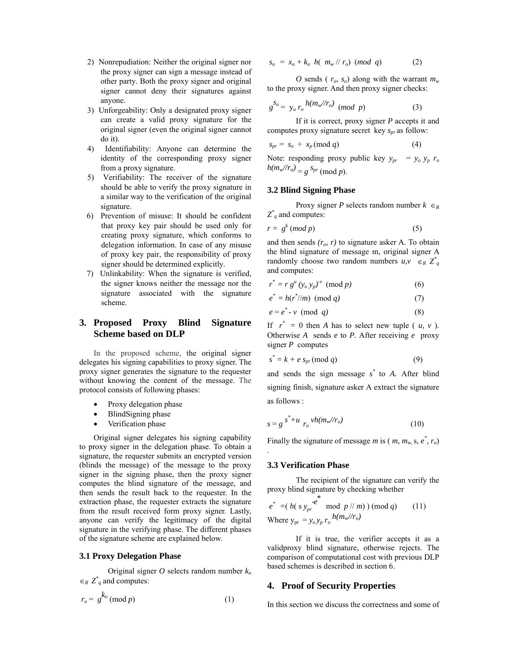- 2) Nonrepudiation: Neither the original signer nor the proxy signer can sign a message instead of other party. Both the proxy signer and original signer cannot deny their signatures against anyone.
- 3) Unforgeability: Only a designated proxy signer can create a valid proxy signature for the original signer (even the original signer cannot do it).
- 4) Identifiability: Anyone can determine the identity of the corresponding proxy signer from a proxy signature.
- 5) Verifiability: The receiver of the signature should be able to verify the proxy signature in a similar way to the verification of the original signature.
- 6) Prevention of misuse: It should be confident that proxy key pair should be used only for creating proxy signature, which conforms to delegation information. In case of any misuse of proxy key pair, the responsibility of proxy signer should be determined explicitly.
- 7) Unlinkability: When the signature is verified, the signer knows neither the message nor the signature associated with the signature scheme.

# **3. Proposed Proxy Blind Signature Scheme based on DLP**

In the proposed scheme, the original signer delegates his signing capabilities to proxy signer. The proxy signer generates the signature to the requester without knowing the content of the message. The protocol consists of following phases:

- Proxy delegation phase
- BlindSigning phase
- Verification phase

Original signer delegates his signing capability to proxy signer in the delegation phase. To obtain a signature, the requester submits an encrypted version (blinds the message) of the message to the proxy signer in the signing phase, then the proxy signer computes the blind signature of the message, and then sends the result back to the requester. In the extraction phase, the requester extracts the signature from the result received form proxy signer. Lastly, anyone can verify the legitimacy of the digital signature in the verifying phase. The different phases of the signature scheme are explained below.

### **3.1 Proxy Delegation Phase**

Original signer *O* selects random number *ko*  $\in_R Z^*$  and computes:

$$
r_o = g^{k_o} \pmod{p} \tag{1}
$$

$$
s_o = x_o + k_o \ h(\begin{array}{c|c} m_w \# r_o \end{array}) \ (mod \ q) \tag{2}
$$

*O* sends ( $r_o$ ,  $s_o$ ) along with the warrant  $m_w$ to the proxy signer. And then proxy signer checks:

$$
g^{S_o} = y_o r_o \frac{h(m_w/r_o)}{(mod\ p)} \tag{3}
$$

If it is correct, proxy signer *P* accepts it and computes proxy signature secret key  $s_{pr}$  as follow:

$$
s_{pr} = s_o + x_p \pmod{q} \tag{4}
$$

Note: responding proxy public key  $y_{pr} = y_o y_p r_o$  $h(m_w$ //r<sub>o</sub>) =  $g^{S_{pr}}$  (mod *p*).

### **3.2 Blind Signing Phase**

Proxy signer *P* selects random number  $k \in R$  $Z^*$ <sub>q</sub> and computes:

$$
r = g^k \pmod{p} \tag{5}
$$

and then sends  $(r_o, r)$  to signature asker A. To obtain the blind signature of message m, original signer A randomly choose two random numbers  $u, v \in_R Z^*$ and computes:

$$
r^* = r g^u (y_o y_p)^{v} \pmod{p} \tag{6}
$$

$$
e^* = h(r^*//m) \pmod{q}
$$
 (7)

$$
e = e^* - v \pmod{q} \tag{8}
$$

If  $r^* = 0$  then *A* has to select new tuple ( *u, v*). Otherwise *A* sends *e* to *P.* After receiving *e* proxy signer *P* computes

$$
s^* = k + e s_{pr} \pmod{q} \tag{9}
$$

and sends the sign message *s \** to *A.* After blind signing finish, signature asker A extract the signature as follows :

$$
s = g^{s^* + u} r_o^{v h(m_w // r_o)}
$$
 (10)

Finally the signature of message *m* is (*m, m<sub>w,</sub> s, e<sup>\*</sup>, r<sub>o</sub>)* 

### **3.3 Verification Phase**

*-e\**

.

The recipient of the signature can verify the proxy blind signature by checking whether

$$
e^* = (h(s)_{pr} \mod p \text{ // } m) \pmod{q} \qquad (11)
$$
  
Where  $y_{pr} = y_o y_p r_o \frac{h(m_w/r_o)}{m}$ 

If it is true, the verifier accepts it as a validproxy blind signature, otherwise rejects. The comparison of computational cost with previous DLP based schemes is described in section 6.

### **4. Proof of Security Properties**

In this section we discuss the correctness and some of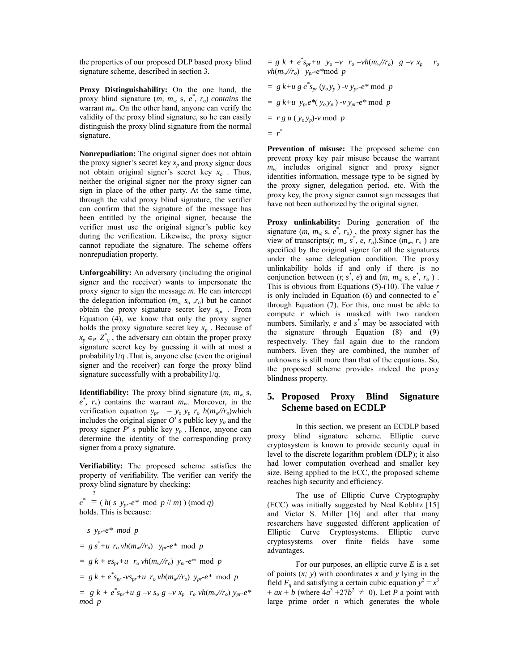the properties of our proposed DLP based proxy blind signature scheme, described in section 3.

**Proxy Distinguishability:** On the one hand, the proxy blind signature  $(m, m_w, s, e^*, r_o)$  *contains* the warrant  $m_w$ . On the other hand, anyone can verify the validity of the proxy blind signature, so he can easily distinguish the proxy blind signature from the normal signature.

**Nonrepudiation:** The original signer does not obtain the proxy signer's secret key  $x_n$  and proxy signer does not obtain original signer's secret key *xo* . Thus, neither the original signer nor the proxy signer can sign in place of the other party. At the same time, through the valid proxy blind signature, the verifier can confirm that the signature of the message has been entitled by the original signer, because the verifier must use the original signer's public key during the verification. Likewise, the proxy signer cannot repudiate the signature. The scheme offers nonrepudiation property.

**Unforgeability:** An adversary (including the original signer and the receiver) wants to impersonate the proxy signer to sign the message *m*. He can intercept the delegation information  $(m_w, s_o, r_o)$  but he cannot obtain the proxy signature secret key  $s_{pr}$ . From Equation (4), we know that only the proxy signer holds the proxy signature secret key  $x_p$ . Because of  $x_p \in R \, Z^*$ , the adversary can obtain the proper proxy signature secret key by guessing it with at most a probability1/*q* .That is, anyone else (even the original signer and the receiver) can forge the proxy blind signature successfully with a probability1/*q.* 

**Identifiability:** The proxy blind signature  $(m, m_w, s)$ ,  $e^*$ ,  $r_o$ ) contains the warrant  $m_w$ . Moreover, in the verification equation  $y_{pr} = y_o y_p r_o h(m_w/r_o)$  which includes the original signer  $O'$  s public key  $y_0$  and the proxy signer *P*′ s public key *yp* . Hence, anyone can determine the identity of the corresponding proxy signer from a proxy signature.

**Verifiability:** The proposed scheme satisfies the property of verifiability. The verifier can verify the proxy blind signature by checking:

 $e^*$  = (*h*( *s*  $y_{pr}e^*$  mod  $p$  // *m*) ) (mod *q*) ? holds. This is because:

$$
s y_{pr}e^* \mod p
$$
  
=  $gs^*+u r_o v h(m_w/r_o) y_{pr}e^*$  mod  $p$   
=  $gsk + es_{pr}+u r_o v h(m_w/r_o) y_{pr}e^*$  mod  $p$   
=  $gsk + e^*s_{pr} - v s_{pr} + u r_o v h(m_w/r_o) y_{pr}e^*$  mod  $p$   
=  $gsk + e^*s_{pr} + u g - v s_o g - v x_p r_o v h(m_w/r_o) y_{pr}e^*$   
mod  $p$ 

$$
= g k + e^* s_{pr} + u y_o - v r_o - v h(m_w/r_o) g - v x_p r_o
$$
  
\n
$$
v h(m_w/r_o) y_{pr} - e^* \mod p
$$
  
\n
$$
= g k + u g e^* s_{pr} (y_o y_p) - v y_{pr} - e^* \mod p
$$
  
\n
$$
= g k + u y_{pr} e^* (y_o y_p) - v y_{pr} - e^* \mod p
$$
  
\n
$$
= r g u (y_o y_p) - v \mod p
$$
  
\n
$$
= r^*
$$

**Prevention of misuse:** The proposed scheme can prevent proxy key pair misuse because the warrant *mw* includes original signer and proxy signer identities information, message type to be signed by the proxy signer, delegation period, etc. With the proxy key, the proxy signer cannot sign messages that have not been authorized by the original signer.

**Proxy unlinkability:** During generation of the signature  $(m, m_w, s, e^*, r_o)$ , the proxy signer has the view of transcripts(*r, m<sub>w,</sub> s<sup>\*</sup>, e, r<sub>o</sub>*). Since  $(m_w, r_o)$  are specified by the original signer for all the signatures under the same delegation condition. The proxy unlinkability holds if and only if there is no conjunction between  $(r, s^*, e)$  and  $(m, m_w, s, e^*, r_o)$ . This is obvious from Equations (5)-(10). The value *r*  is only included in Equation (6) and connected to *e\** through Equation (7). For this, one must be able to compute *r* which is masked with two random numbers. Similarly, *e* and *s \** may be associated with the signature through Equation (8) and (9) respectively. They fail again due to the random numbers. Even they are combined, the number of unknowns is still more than that of the equations. So, the proposed scheme provides indeed the proxy blindness property.

# **5. Proposed Proxy Blind Signature Scheme based on ECDLP**

In this section, we present an ECDLP based proxy blind signature scheme. Elliptic curve cryptosystem is known to provide security equal in level to the discrete logarithm problem (DLP); it also had lower computation overhead and smaller key size. Being applied to the ECC, the proposed scheme reaches high security and efficiency.

The use of Elliptic Curve Cryptography (ECC) was initially suggested by Neal Koblitz [15] and Victor S. Miller [16] and after that many researchers have suggested different application of Elliptic Curve Cryptosystems. Elliptic curve cryptosystems over finite fields have some advantages.

For our purposes, an elliptic curve *E* is a set of points (*x; y*) with coordinates *x* and *y* lying in the field  $F_q$  and satisfying a certain cubic equation  $y^2 = x^3$  $+ ax + b$  (where  $4a^3 + 27b^2 \neq 0$ ). Let *P* a point with large prime order *n* which generates the whole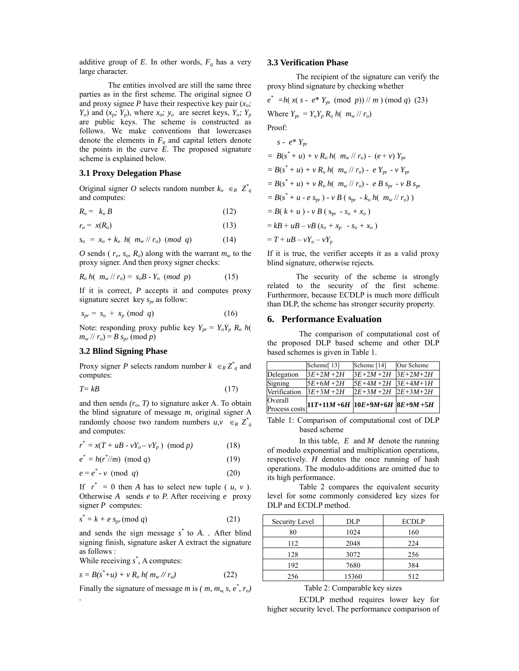additive group of *E*. In other words,  $F_q$  has a very large character.

The entities involved are still the same three parties as in the first scheme. The original signee *O*  and proxy signee *P* have their respective key pair  $(x_o;$  $Y_o$ ) and  $(x_p; Y_p)$ , where  $x_o; y_o$  are secret keys,  $Y_o; Y_p$ are public keys. The scheme is constructed as follows. We make conventions that lowercases denote the elements in  $F_q$  and capital letters denote the points in the curve *E*. The proposed signature scheme is explained below.

# **3.1 Proxy Delegation Phase**

Original signer *O* selects random number  $k_o \in R \, \mathbb{Z}_q^*$ and computes:

$$
R_o = k_o B \tag{12}
$$

$$
r_o = x(R_o) \tag{13}
$$

$$
s_o = x_o + k_o \ h(\left\langle m_w \right\rangle / r_o) \ (mod \ q) \tag{14}
$$

*O* sends ( $r_o$ ,  $s_o$ ,  $R_o$ ) along with the warrant  $m_w$  to the proxy signer. And then proxy signer checks:

$$
R_o \; h(\; m_w \, // \; r_o) = \; s_o \, B \; \cdot \; Y_o \; (mod \; p) \tag{15}
$$

If it is correct, *P* accepts it and computes proxy signature secret key  $s_{pr}$  as follow:

$$
s_{pr} = s_o + x_p \ (mod \ q) \tag{16}
$$

Note: responding proxy public key  $Y_{pr} = Y_o Y_p R_o h$  $m_w$  //  $r_o$ ) = *B*  $s_{pr}$  (mod *p*)

### **3.2 Blind Signing Phase**

Proxy signer *P* selects random number  $k \in R \mathbb{Z}^*$  and computes:

$$
T = kB \tag{17}
$$

and then sends  $(r_o, T)$  to signature asker A. To obtain the blind signature of message *m*, original signer A randomly choose two random numbers  $u, v \in_R Z^*$ and computes:

$$
r^* = x(T + uB - vY_o - vY_p) \pmod{p} \tag{18}
$$

$$
e^* = h(r^*/m) \pmod{q}
$$
 (19)

$$
e = e^* - v \pmod{q} \tag{20}
$$

If  $r^* = 0$  then *A* has to select new tuple ( *u, v*). Otherwise *A* sends *e* to *P.* After receiving *e* proxy signer *P* computes:

$$
s^* = k + e s_{pr} \pmod{q} \tag{21}
$$

and sends the sign message  $s^*$  to  $A$ . After blind signing finish, signature asker A extract the signature as follows :

While receiving  $s^*$ , A computes:

*.* 

$$
s = B(s^* + u) + v R_o h(m_w / r_o)
$$
 (22)

Finally the signature of message *m* is (*m, m<sub>w</sub>, s, e<sup>\*</sup>, r<sub>o</sub>)* 

#### **3.3 Verification Phase**

The recipient of the signature can verify the proxy blind signature by checking whether

$$
e^* = h(x(s - e^* Y_{pr} (mod p)) // m) (mod q) (23)
$$
  
Where  $Y_{pr} = Y_o Y_p R_o h(m_w // r_o)$   
Proof:  

$$
s - e^* Y_{pr}
$$
  

$$
= B(s^* + u) + v R_o h(m_w // r_o) - (e + v) Y_{pr}
$$
  

$$
= B(s^* + u) + v R_o h(m_w // r_o) - e Y_{pr} - v Y_{pr}
$$
  

$$
= B(s^* + u) + v R_o h(m_w // r_o) - e B s_{pr} - v B s_{pr}
$$
  

$$
= B(s^* + u - e s_{pr}) - v B (s_{pr} - k_o h(m_w // r_o))
$$

$$
= B(k+u) - v B (s_{pr} - s_o + x_o)
$$

$$
= kB + uB - vB (s_o + x_p - s_o + x_o)
$$

 $= T + uB - vY_o - vY_p$ 

If it is true, the verifier accepts it as a valid proxy blind signature, otherwise rejects.

 The security of the scheme is strongly related to the security of the first scheme. Furthermore, because ECDLP is much more difficult than DLP, the scheme has stronger security property.

#### **6. Performance Evaluation**

The comparison of computational cost of the proposed DLP based scheme and other DLP based schemes is given in Table 1.

|              | Scheme[13]                                                    | Scheme [14]           | Our Scheme |
|--------------|---------------------------------------------------------------|-----------------------|------------|
| Delegation   | $3E+2M+2H$                                                    | $3E+2M+2H$            | $3E+2M+2H$ |
| Signing      | $5E+6M+2H$                                                    | $5E+4M+2H$            | $3E+4M+1H$ |
| Verification | $3E+3M+2H$                                                    | $2E+3M+2H$ $2E+3M+2H$ |            |
|              |                                                               |                       |            |
|              | $\sum_{\text{Process costs}}$ 11T+11M +6H 10E+9M+6H 8E+9M +5H |                       |            |

Table 1: Comparison of computational cost of DLP based scheme

 In this table, *E* and *M* denote the running of modulo exponential and multiplication operations, respectively. *H* denotes the once running of hash operations. The modulo-additions are omitted due to its high performance.

Table 2 compares the equivalent security level for some commonly considered key sizes for DLP and ECDLP method.

| Security Level | DLP   | <b>ECDLP</b> |
|----------------|-------|--------------|
| 80             | 1024  | 160          |
| 112            | 2048  | 224          |
| 128            | 3072  | 256          |
| 192            | 7680  | 384          |
| 256            | 15360 | 512          |

#### Table 2: Comparable key sizes

 ECDLP method requires lower key for higher security level. The performance comparison of